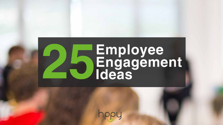

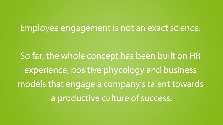### Employee engagement is not an exact science.

So far, the whole concept has been built on HR experience, positive phycology and business models that engage a company's talent towards a productive culture of success.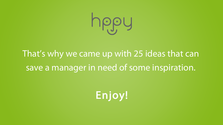## That's why we came up with 25 ideas that can save a manager in need of some inspiration.

Enjoy!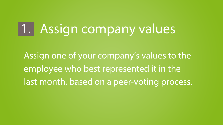Assign one of your company's values to the employee who best represented it in the last month, based on a peer-voting process.

# **1. Assign company values**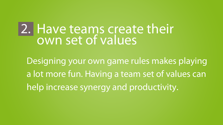Designing your own game rules makes playing a lot more fun. Having a team set of values can help increase synergy and productivity.

### **Have teams create their own set of values 2.**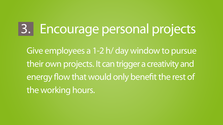Give employees a 1-2 h/ day window to pursue their own projects. It can trigger a creativity and energy flow that would only benefit the rest of the working hours.

# **3. Encourage personal projects**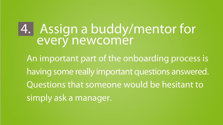## An important part of the onboarding process is having some really important questions answered. Questions that someone would be hesitant to simply ask a manager. **Assign a buddy/mentor for 4.every newcomer**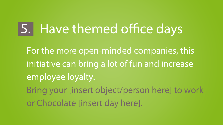# **5.** Have themed office days

For the more open-minded companies, this initiative can bring a lot of fun and increase employee loyalty. Bring your [insert object/person here] to work or Chocolate [insert day here].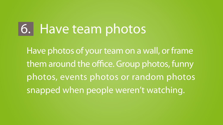Have photos of your team on a wall, or frame them around the office. Group photos, funny photos, events photos or random photos snapped when people weren't watching.

## **6. Have team photos**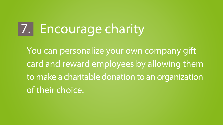You can personalize your own company gift card and reward employees by allowing them to make a charitable donation to an organization of their choice.

# **7. Encourage charity**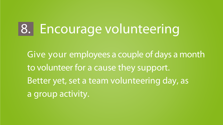Give your employees a couple of days a month to volunteer for a cause they support. Better yet, set a team volunteering day, as a group activity.

# **8. Encourage volunteering**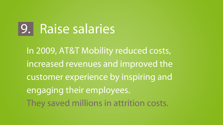In 2009, AT&T Mobility reduced costs, increased revenues and improved the customer experience by inspiring and engaging their employees. They saved millions in attrition costs.

## **9. Raise salaries**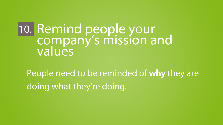People need to be reminded of why they are doing what they're doing.

### **Remind people your company's mission and values 10.**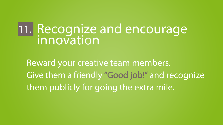Reward your creative team members. Give them a friendly "Good job!" and recognize them publicly for going the extra mile.

### **Recognize and encourage innovation 11.**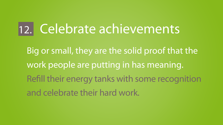Big or small, they are the solid proof that the work people are putting in has meaning. Refill their energy tanks with some recognition and celebrate their hard work.

## **12. Celebrate achievements**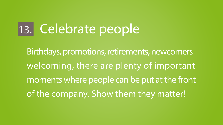Birthdays, promotions, retirements, newcomers welcoming, there are plenty of important moments where people can be put at the front of the company. Show them they matter!

## **13. Celebrate people**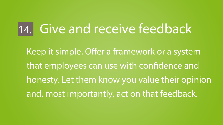Keep it simple. Offer a framework or a system that employees can use with confidence and honesty. Let them know you value their opinion and, most importantly, act on that feedback.

## **14. Give and receive feedback**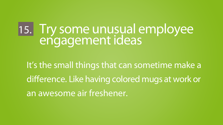It's the small things that can sometime make a difference. Like having colored mugs at work or an awesome air freshener.

### **Try some unusual employee engagement ideas 15.**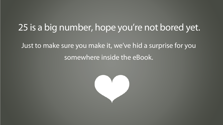### **25 is a big number, hope you're not bored yet.**

- Just to make sure you make it, we've hid a surprise for you somewhere inside the eBook.
	-

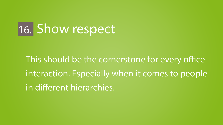# **16. Show respect**

This should be the cornerstone for every office interaction. Especially when it comes to people in different hierarchies.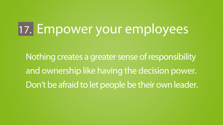Nothing creates a greater sense of responsibility and ownership like having the decision power. Don't be afraid to let people be their own leader.

# **17. Empower your employees**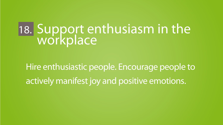### **Support enthusiasm in the workplace 18.**

Hire enthusiastic people. Encourage people to actively manifest joy and positive emotions.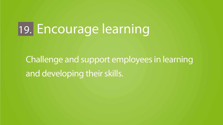Challenge and support employees in learning and developing their skills.

## **19. Encourage learning**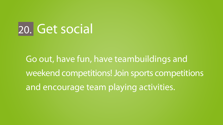Go out, have fun, have teambuildings and weekend competitions! Join sports competitions and encourage team playing activities.

## **20. Get social**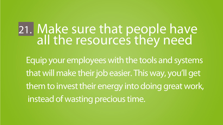Equip your employees with the tools and systems that will make their job easier. This way, you'll get them to invest their energy into doing great work, instead of wasting precious time.

## **Make sure that people have all the resources they need 21.**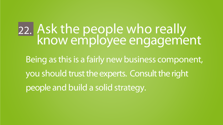Being as this is a fairly new business component, you should trust the experts. Consult the right people and build a solid strategy.

### **Ask the people who really know employee engagement 22.**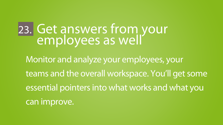Monitor and analyze your employees, your teams and the overall workspace. You'll get some essential pointers into what works and what you can improve. **Get answers from your employees as well 23.**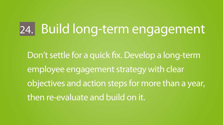Don't settle for a quick fix. Develop a long-term employee engagement strategy with clear objectives and action steps for more than a year, then re-evaluate and build on it.

# **24. Build long-term engagement**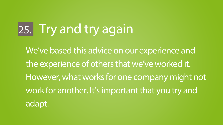We've based this advice on our experience and the experience of others that we've worked it. However, what works for one company might not work for another. It's important that you try and adapt.

# **25. Try and try again**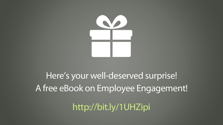

## Here's your well-deserved surprise! A free eBook on Employee Engagement! **http://bit.ly/1UHZipi**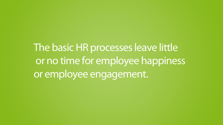The basic HR processes leave little or no time for employee happiness or employee engagement.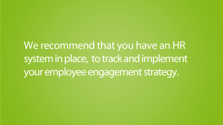We recommend that you have an HR system in place, to track and implement your employee engagement strategy.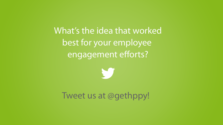### What's the idea that worked best for your employee engagement efforts?



### Tweet us at @gethppy!